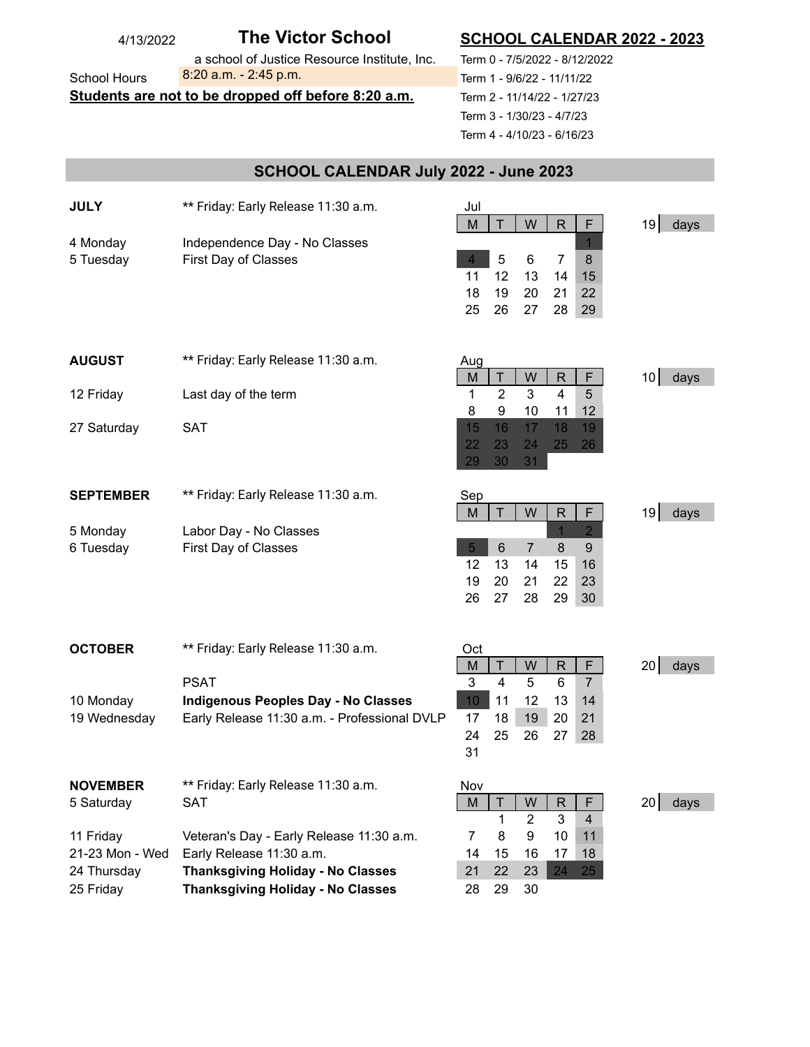| 4/13/2022                                           | <b>The Victor School</b>                     | <b>SCHOOL CALENDAR 2022 - 2023</b>                                |  |  |
|-----------------------------------------------------|----------------------------------------------|-------------------------------------------------------------------|--|--|
|                                                     | a school of Justice Resource Institute, Inc. | Term 0 - 7/5/2022 - 8/12/2022                                     |  |  |
| <b>School Hours</b>                                 | 8:20 a.m. - 2:45 p.m.                        | Term 1 - 9/6/22 - 11/11/22                                        |  |  |
| Students are not to be dropped off before 8:20 a.m. |                                              | Term 2 - 11/14/22 - 1/27/23                                       |  |  |
|                                                     |                                              | Term 3 - 1/30/23 - 4/7/23                                         |  |  |
|                                                     |                                              | Term 4 - 4/10/23 - 6/16/23                                        |  |  |
|                                                     |                                              |                                                                   |  |  |
| SCHOOL CALENDAR July 2022 - June 2023               |                                              |                                                                   |  |  |
| <b>JULY</b>                                         | ** Friday: Early Release 11:30 a.m.          |                                                                   |  |  |
|                                                     |                                              | Jul<br>M<br>Τ<br>W<br>R<br>19<br>days<br>F                        |  |  |
| 4 Monday                                            | Independence Day - No Classes                |                                                                   |  |  |
| 5 Tuesday                                           | First Day of Classes                         | 5<br>$\overline{7}$<br>6<br>8<br>$\overline{4}$                   |  |  |
|                                                     |                                              | 15<br>11<br>12<br>13<br>14                                        |  |  |
|                                                     |                                              | 18<br>19<br>20<br>21<br>22                                        |  |  |
|                                                     |                                              | 26<br>28<br>25<br>27<br>29                                        |  |  |
|                                                     |                                              |                                                                   |  |  |
| <b>AUGUST</b>                                       | ** Friday: Early Release 11:30 a.m.          | Aug                                                               |  |  |
|                                                     |                                              | R<br>F<br>Τ<br>W<br>10 <sup>1</sup><br>days<br>M                  |  |  |
| 12 Friday                                           | Last day of the term                         | $\overline{2}$<br>3<br>$\overline{4}$<br>5<br>1                   |  |  |
|                                                     |                                              | 9<br>10<br>8<br>11<br>12                                          |  |  |
| 27 Saturday                                         | <b>SAT</b>                                   | 16<br>17<br>18<br>15<br>19                                        |  |  |
|                                                     |                                              | 22<br>23<br>25<br>26<br>24<br>29<br>30<br>31                      |  |  |
|                                                     |                                              |                                                                   |  |  |
| <b>SEPTEMBER</b>                                    | ** Friday: Early Release 11:30 a.m.          | Sep                                                               |  |  |
|                                                     |                                              | $\mathsf{T}$<br>W<br>R<br>19<br>days<br>M<br>F                    |  |  |
| 5 Monday                                            | Labor Day - No Classes                       | $\overline{2}$                                                    |  |  |
| 6 Tuesday                                           | First Day of Classes                         | 6<br>$\overline{5}$<br>$\overline{7}$<br>9<br>8                   |  |  |
|                                                     |                                              | 12<br>15<br>16<br>13<br>14<br>19<br>20<br>22<br>23<br>21          |  |  |
|                                                     |                                              | 26<br>27<br>29<br>28<br>30                                        |  |  |
|                                                     |                                              |                                                                   |  |  |
|                                                     |                                              |                                                                   |  |  |
| <b>OCTOBER</b>                                      | ** Friday: Early Release 11:30 a.m.          | Oct<br>W<br>F.<br>Τ<br>20                                         |  |  |
|                                                     | <b>PSAT</b>                                  | R<br>M<br>days<br>3<br>$\overline{4}$<br>5<br>6<br>$\overline{7}$ |  |  |
| 10 Monday                                           | <b>Indigenous Peoples Day - No Classes</b>   | 10<br>11<br>12<br>13<br>14                                        |  |  |
| 19 Wednesday                                        | Early Release 11:30 a.m. - Professional DVLP | 18<br>19<br>17<br>20<br>21                                        |  |  |
|                                                     |                                              | 24<br>25<br>26<br>27<br>28                                        |  |  |
|                                                     |                                              | 31                                                                |  |  |
| <b>NOVEMBER</b>                                     | ** Friday: Early Release 11:30 a.m.          | Nov                                                               |  |  |
| 5 Saturday                                          | <b>SAT</b>                                   | M<br>Τ<br>W<br>R<br>F.<br>20 l<br>days                            |  |  |
|                                                     |                                              | 3<br>$\overline{2}$<br>1<br>4                                     |  |  |
| 11 Friday                                           | Veteran's Day - Early Release 11:30 a.m.     | 10<br>$\overline{7}$<br>8<br>9<br>11                              |  |  |
| 21-23 Mon - Wed                                     | Early Release 11:30 a.m.                     | 15<br>16<br>17<br>18<br>14                                        |  |  |
| 24 Thursday                                         | <b>Thanksgiving Holiday - No Classes</b>     | 22<br>21<br>23<br>24<br>25                                        |  |  |
| 25 Friday                                           | <b>Thanksgiving Holiday - No Classes</b>     | 28<br>29<br>30                                                    |  |  |